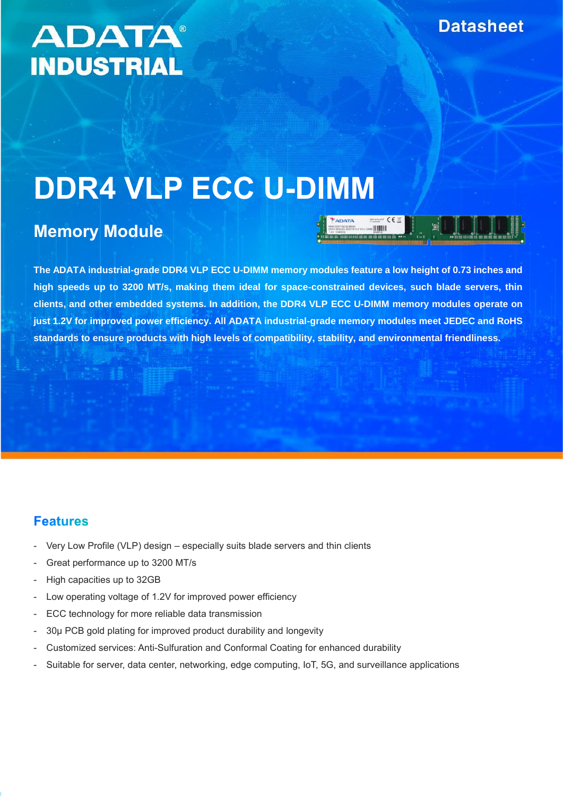## **ADATA® INDUSTRIAL**

# **DDR4 VLP ECC U-DIMM**

## **Memory Module**

**The ADATA industrial-grade DDR4 VLP ECC U-DIMM memory modules feature a low height of 0.73 inches and high speeds up to 3200 MT/s, making them ideal for space-constrained devices, such blade servers, thin clients, and other embedded systems. In addition, the DDR4 VLP ECC U-DIMM memory modules operate on just 1.2V for improved power efficiency. All ADATA industrial-grade memory modules meet JEDEC and RoHS standards to ensure products with high levels of compatibility, stability, and environmental friendliness.**

#### **Features**

- Very Low Profile (VLP) design especially suits blade servers and thin clients
- Great performance up to 3200 MT/s
- High capacities up to 32GB
- Low operating voltage of 1.2V for improved power efficiency
- ECC technology for more reliable data transmission
- 30µ PCB gold plating for improved product durability and longevity
- Customized services: Anti-Sulfuration and Conformal Coating for enhanced durability
- Suitable for server, data center, networking, edge computing, IoT, 5G, and surveillance applications